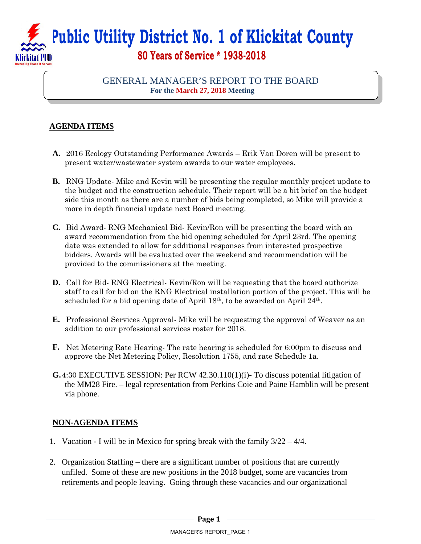## **Public Utility District No. 1 of Klickitat County 80 Years of Service \* 1938-2018**

## GENERAL MANAGER'S REPORT TO THE BOARD **For the March 27, 2018 Meeting**

## **AGENDA ITEMS**

- **A.** 2016 Ecology Outstanding Performance Awards Erik Van Doren will be present to present water/wastewater system awards to our water employees.
- **B.** RNG Update- Mike and Kevin will be presenting the regular monthly project update to the budget and the construction schedule. Their report will be a bit brief on the budget side this month as there are a number of bids being completed, so Mike will provide a more in depth financial update next Board meeting.
- **C.** Bid Award- RNG Mechanical Bid- Kevin/Ron will be presenting the board with an award recommendation from the bid opening scheduled for April 23rd. The opening date was extended to allow for additional responses from interested prospective bidders. Awards will be evaluated over the weekend and recommendation will be provided to the commissioners at the meeting.
- **D.** Call for Bid-RNG Electrical-Kevin/Ron will be requesting that the board authorize staff to call for bid on the RNG Electrical installation portion of the project. This will be scheduled for a bid opening date of April 18th, to be awarded on April 24th.
- **E.** Professional Services Approval- Mike will be requesting the approval of Weaver as an addition to our professional services roster for 2018.
- **F.** Net Metering Rate Hearing- The rate hearing is scheduled for 6:00pm to discuss and approve the Net Metering Policy, Resolution 1755, and rate Schedule 1a.
- **G.**4:30 EXECUTIVE SESSION: Per RCW 42.30.110(1)(i)- To discuss potential litigation of the MM28 Fire. – legal representation from Perkins Coie and Paine Hamblin will be present via phone.

## **NON-AGENDA ITEMS**

- 1. Vacation I will be in Mexico for spring break with the family 3/22 4/4.
- 2. Organization Staffing there are a significant number of positions that are currently unfiled. Some of these are new positions in the 2018 budget, some are vacancies from retirements and people leaving. Going through these vacancies and our organizational